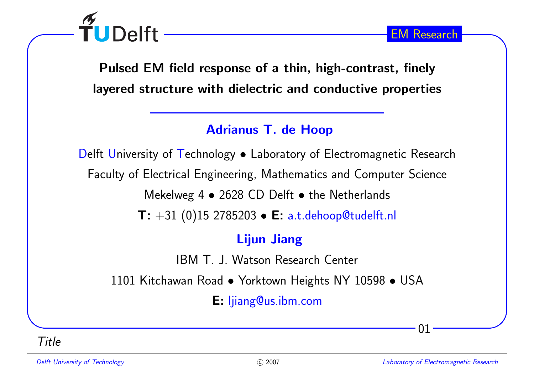

Pulsed EM field response of <sup>a</sup> thin, high-contrast, finelylayered structure with dielectric and conductive properties

### Adrianus T. de Hoop

Delft University of Technology • Laboratory of Electromagnetic Research Faculty of Electrical Engineering, Mathematics and Computer ScienceMekelweg 4  $\bullet$  2628 CD Delft  $\bullet$  the Netherlands  $\textsf{T}: +31 \text{ (0)} 15 \text{ 2785203} \bullet \textsf{E: a.t. dehoop@tudelft.nl}$ 

## Lijun Jiang

IBM T. J. Watson Research Center

<sup>1101</sup> Kitchawan Road • Yorktown Heights NY <sup>10598</sup> • USA

E: ljiang@us.ibm.com

Title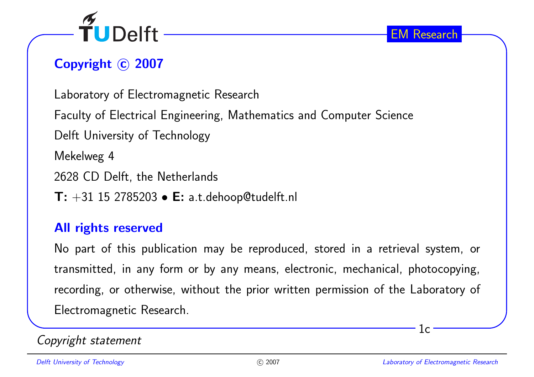

# Copyright © 2007

Laboratory of Electromagnetic Research

Faculty of Electrical Engineering, Mathematics and Computer Science

Delft University of Technology

Mekelweg <sup>4</sup>

<sup>2628</sup> CD Delft, the Netherlands

 $\textsf{T: +31 15 2785203}\bullet \textsf{E: a.t. dehoop@tudelft.nl}$ 

#### All rights reserved

No part of this publication may be reproduced, stored in <sup>a</sup> retrieval system, ortransmitted, in any form or by any means, electronic, mechanical, <sup>p</sup>hotocopying, recording, or otherwise, without the prior written permission of the Laboratory of Electromagnetic Research.

### Copyright statement

 $1c$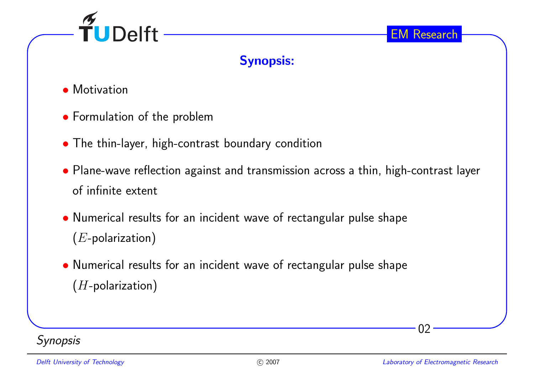

### Synopsis:

- Motivation
- Formulation of the problem
- The thin-layer, high-contrast boundary condition
- Plane-wave reflection against and transmission across <sup>a</sup> thin, high-contrast layer of infinite extent
- Numerical results for an incident wave of rectangular pulse shape  $(E$ -polarization)
- Numerical results for an incident wave of rectangular pulse shape  $(H$ -polarization)



02

EM Research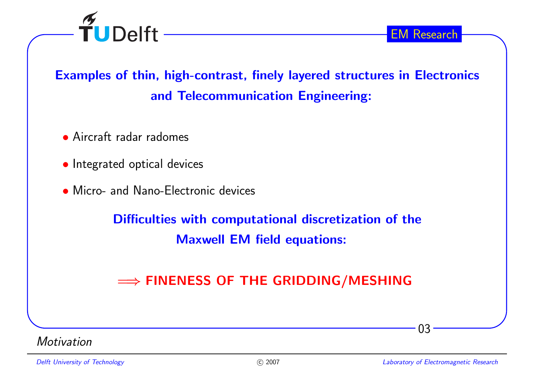

# Examples of thin, high-contrast, finely layered structures in Electronicsand Telecommunication Engineering:

- Aircraft radar radomes
- Integrated optical devices
- Micro- and Nano-Electronic devices

Difficulties with computational discretization of theMaxwell EM field equations:

# $\Longrightarrow$  FINENESS OF THE GRIDDING/MESHING

**Motivation**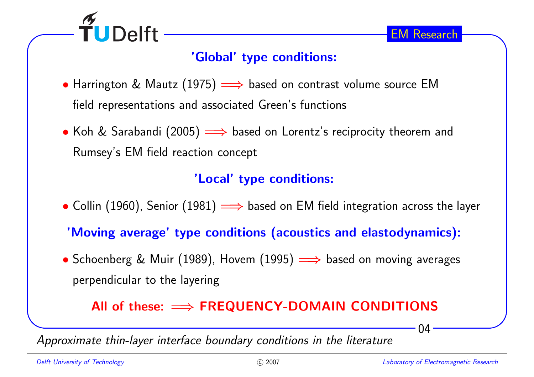

## 'Global' type conditions:

- Harrington & Mautz (1975)  $\implies$  based on contrast volume source EM field representations and associated Green's functions
- Koh & Sarabandi (2005) =⇒ based on Lorentz's reciprocity theorem and<br>Remaye's FM field weating sensort Rumsey's EM field reaction concept

## 'Local' type conditions:

- $\bullet$  Collin (1960), Senior (1981)  $\Longrightarrow$  based on EM field integration across the layer
- 'Moving average' type conditions (acoustics and elastodynamics):
- Schoenberg & Muir (1989), Hovem (1995) =⇒ based on moving averages perpendicular to the layering

# $\mathsf{All} \hspace{0.1cm}$  of these:  $\Longrightarrow \mathsf{FREQUENCY-DOMAIN}\hspace{0.1cm} \mathsf{CONDITIONS}$

Approximate thin-layer interface boundary conditions in the literature

04

EM Research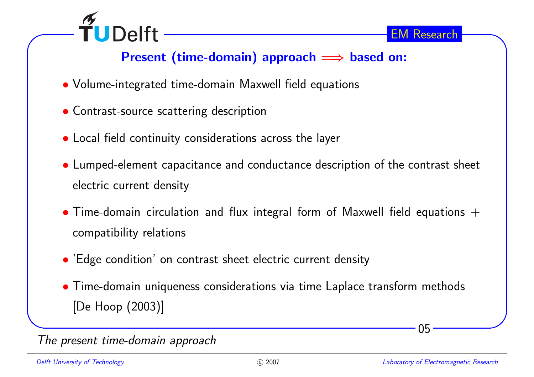

# Present (time-domain) approach <sup>=</sup><sup>⇒</sup> based on:

- Volume-integrated time-domain Maxwell field equations
- Contrast-source scattering description
- Local field continuity considerations across the layer
- Lumped-element capacitance and conductance description of the contrast sheet electric current density
- $\bullet$  Time-domain circulation and flux integral form of Maxwell field equations  $+$ compatibility relations
- 'Edge condition' on contrast sheet electric current density
- Time-domain uniqueness considerations via time Laplace transform methods [De Hoop (2003)]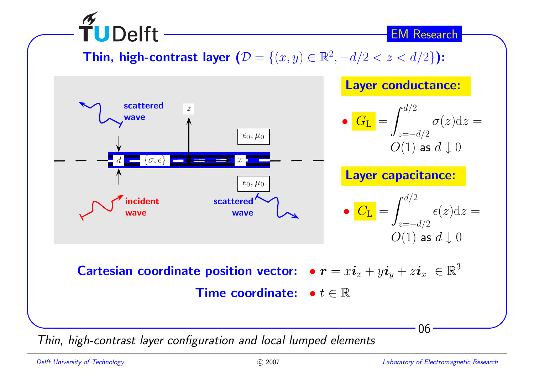Thin, high-contrast layer  $(D = \{(x, y) \in \mathbb{R}^2, -d/2 < z < d/2\})$ :



Thin, high-contrast layer configuration and local lumped elements

**TUDelft**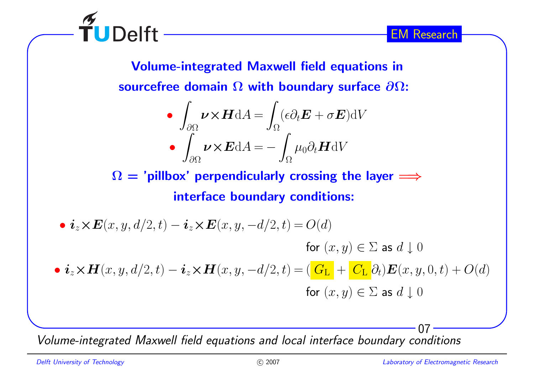

Volume-integrated Maxwell field equations insourcefree domain  $\Omega$  with boundary surface  $\partial\Omega$ :

$$
\bullet \int_{\partial\Omega} \nu \times \mathbf{H} \, \mathrm{d}A = \int_{\Omega} (\epsilon \partial_t \mathbf{E} + \sigma \mathbf{E}) \, \mathrm{d}V
$$

$$
\bullet \int_{\partial\Omega} \nu \times \mathbf{E} \, \mathrm{d}A = -\int_{\Omega} \mu_0 \partial_t \mathbf{H} \, \mathrm{d}V
$$

 $\Omega =$  'pillbox' perpendicularly crossing the layer  $\Longrightarrow$ interface boundary conditions:

\n- \n
$$
\bullet
$$
\n $\mathbf{i}_z \times \mathbf{E}(x, y, d/2, t) - \mathbf{i}_z \times \mathbf{E}(x, y, -d/2, t) = O(d)$ \n
\n- \n $\bullet$ \n $\mathbf{i}_z \times \mathbf{H}(x, y, d/2, t) - \mathbf{i}_z \times \mathbf{H}(x, y, -d/2, t) = \left( \frac{G_L}{\mathbf{G}_L} + \frac{C_L}{\mathbf{G}_L} \partial_t \right) \mathbf{E}(x, y, 0, t) + O(d)$ \n
\n- \n $\bullet$ \n $\mathbf{i}_z \times \mathbf{H}(x, y, d/2, t) - \mathbf{i}_z \times \mathbf{H}(x, y, -d/2, t) = \left( \frac{G_L}{\mathbf{G}_L} + \frac{C_L}{\mathbf{G}_L} \partial_t \right) \mathbf{E}(x, y, 0, t) + O(d)$ \n
\n

Volume-integrated Maxwell field equations and local interface boundary conditions

 $\widetilde{\mathsf{T}}$ UDelft -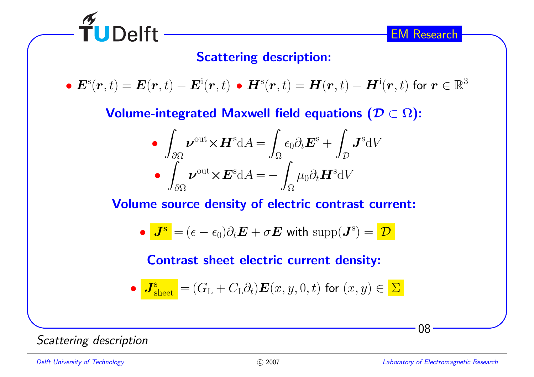

### Scattering description:

•  $\bm{E}^{\rm s}(\bm{r},t) = \bm{E}(\bm{r},t) - \bm{E}^{\rm i}(\bm{r},t)$  •  $\bm{H}^{\rm s}(\bm{r},t) = \bm{H}(\bm{r},t) - \bm{H}^{\rm i}(\bm{r},t)$  for  $\bm{r} \in \mathbb{R}^3$ 

Volume-integrated Maxwell field equations  $(\mathcal{D}\subset\Omega)$ :

$$
\int_{\partial\Omega} \boldsymbol{\nu}^{\text{out}} \times \boldsymbol{H}^{\text{s}} \text{d}A = \int_{\Omega} \epsilon_0 \partial_t \boldsymbol{E}^{\text{s}} + \int_{\mathcal{D}} \boldsymbol{J}^{\text{s}} \text{d}V
$$

$$
\bullet \int_{\partial\Omega} \boldsymbol{\nu}^{\text{out}} \times \boldsymbol{E}^{\text{s}} \text{d}A = -\int_{\Omega} \mu_0 \partial_t \boldsymbol{H}^{\text{s}} \text{d}V
$$

Volume source density of electric contrast current:

• 
$$
J^s = (\epsilon - \epsilon_0) \partial_t E + \sigma E
$$
 with supp $(J^s) = \mathcal{D}$ 

Contrast sheet electric current density:

• 
$$
J_{\text{sheet}}^s = (G_L + C_L \partial_t) \mathbf{E}(x, y, 0, t)
$$
 for  $(x, y) \in \Sigma$ 

Scattering description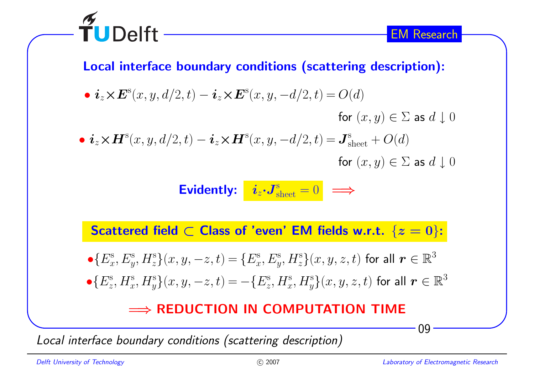

#### Local interface boundary conditions (scattering description):

•  $\boldsymbol{i}_z \times \boldsymbol{E}^{\rm s}(x,y,d/2,t) - \boldsymbol{i}_z \times \boldsymbol{E}^{\rm s}(x,y,-d/2,t) = O(d)$ for  $(x, y) \in \Sigma$  as  $d \downarrow 0$ •  $i_z \times H^s(x, y, d/2, t) - i_z \times H^s(x, y, -d/2, t) = \boldsymbol{J}^s_{\rm sheet} + O(d)$ for  $(x, y) \in \Sigma$  as  $d \downarrow 0$ 

**Evidently:** 
$$
i_z \cdot J_{\text{sheet}}^s = 0
$$
  $\implies$ 

 ${\sf Scattered}$  field  $\subset {\sf Class\ of\ 'even'}$  EM fields w.r.t.  $\{z=0\}$ :

$$
\begin{aligned}\n\bullet \{ E_x^{\rm s}, E_y^{\rm s}, H_z^{\rm s} \}(x, y, -z, t) &= \{ E_x^{\rm s}, E_y^{\rm s}, H_z^{\rm s} \}(x, y, z, t) \text{ for all } \mathbf{r} \in \mathbb{R}^3 \\
\bullet \{ E_z^{\rm s}, H_x^{\rm s}, H_y^{\rm s} \}(x, y, -z, t) &= -\{ E_z^{\rm s}, H_x^{\rm s}, H_y^{\rm s} \}(x, y, z, t) \text{ for all } \mathbf{r} \in \mathbb{R}^3\n\end{aligned}
$$

# $\implies$  **REDUCTION IN COMPUTATION TIME**

Local interface boundary conditions (scattering description)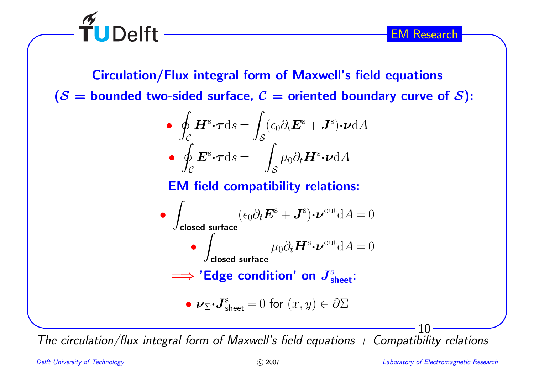

 $\widetilde{\mathsf{T}}$ UDelft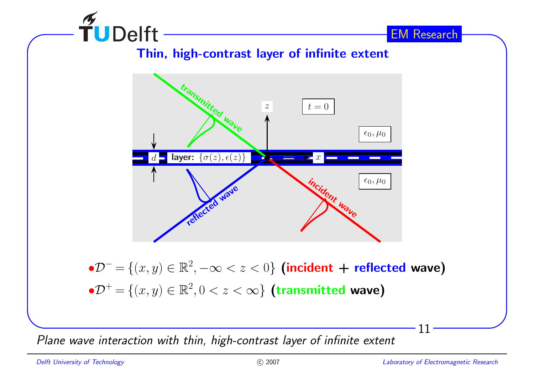

Thin, high-contrast layer of infinite extent



 $\bullet {\cal D}^ =$  ${U}=\{(x,y)\in\mathbb{R}^2, -\infty < z < 0\}$  (incident + reflected wave)  $\bullet {\cal D}^+ =$  $=\{(x,y)\in\mathbb{R}^2, 0 < z < \infty\}$  (transmitted wave)

Plane wave interaction with thin, high-contrast layer of infinite extent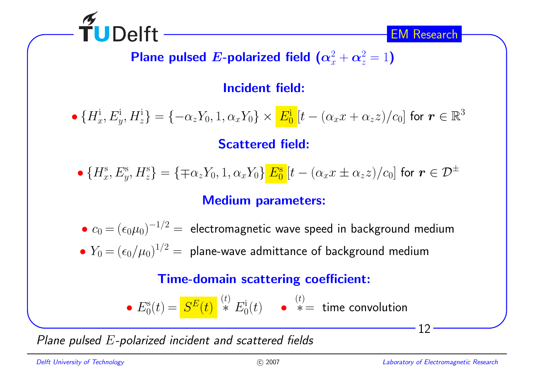

Plane pulsed  $\boldsymbol{E}\text{-}\mathsf{polarized}$  field  $\left(\boldsymbol{\alpha}_x^2+\boldsymbol{\alpha}_z^2=1\right)$ 

Incident field:

• $\bullet$   $\{H_x^i, E_y^i, H_z^i\} = \{-\alpha_z Y_0, 1, \alpha_x Y_0\} \times \frac{E_0^i}{\omega} [t - (\alpha_x x + \alpha_z z)/c_0]$  for  $\boldsymbol{r} \in \mathbb{R}^3$ Scattered field:

$$
\bullet \, \{H_x^{\rm s}, E_y^{\rm s}, H_z^{\rm s}\} = \{\mp \alpha_z Y_0, 1, \alpha_x Y_0\} \frac{E_0^{\rm s}}{E_0}[t - (\alpha_x x \pm \alpha_z z)/c_0] \text{ for } \bm{r} \in \mathcal{D}^{\pm}
$$

### Medium parameters:

• $\bullet \ c_0 \,{=}\, (\epsilon_0 \mu_0)^{-1/2} = \,$ electromagnetic wave speed in background medium

• $\bullet Y_0 = (\epsilon_0/\mu_0)^{1/2} = \text{ plane-wave admittance of background medium}$ 

### Time-domain scattering coefficient:

• 
$$
E_0^s(t) = \frac{S^E(t)}{s^E(t)}
$$
  $\stackrel{(t)}{=} \frac{S^E(t)}{s^E(t)}$ 

Plane pulsed  $E\mathsf{\text{-}polarized}$  incident and scattered fields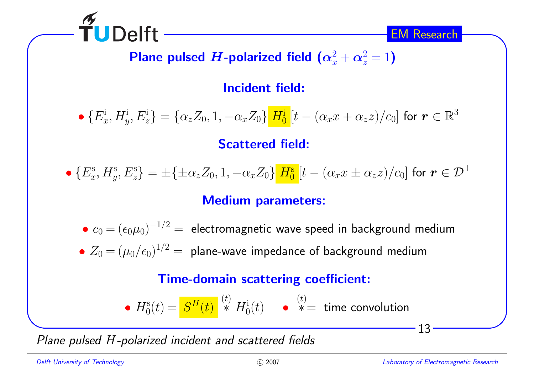

Plane pulsed  $\boldsymbol{H}$ -polarized field  $\left(\boldsymbol{\alpha}_x^2+\boldsymbol{\alpha}_z^2=1\right)$ 

Incident field:

• $\bullet$   $\{E_x^i,H_y^i,E_z^i\} = \{\alpha_z Z_0,1,-\alpha_x Z_0\}$   $H_0^i[t-(\alpha_x x + \alpha_z z)/c_0]$  for  $\bm{r} \in \mathbb{R}^3$ Scattered field:

•  $\{E_x^{\rm s},H_y^{\rm s},E_z^{\rm s}\}=\pm\{\pm\alpha_z Z_0,1,-\alpha_x Z_0\}$   $H_0^{\rm s}[t-(\alpha_x x\pm\alpha_z z)/c_0]$  for  $\bm{r}\in\mathcal{D}^\pm$ 

### Medium parameters:

• $\bullet \ c_0 \,{=}\, (\epsilon_0 \mu_0)^{-1/2} \,{=}\,$  electromagnetic wave speed in background medium • $Z_0 = (\mu_0/\epsilon_0)^{1/2} =$  plane-wave impedance of background medium

#### Time-domain scattering coefficient:

•  $H_0^{\rm s}(t) = \frac{S^H(t)}{s^H(t)}\stackrel{(t)}{*} = H_0^{\rm i}(t)$  •  $\stackrel{(t)}{*} =$  time convolution

Plane pulsed <sup>H</sup>-polarized incident and scattered fields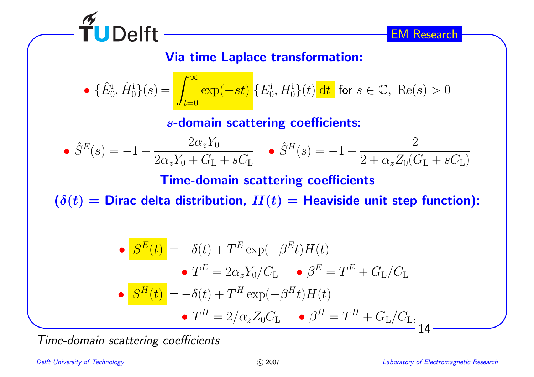

Via time Laplace transformation:

• 
$$
\{\hat{E}_0^i, \hat{H}_0^i\}(s) = \int_{t=0}^{\infty} \exp(-st) \{E_0^i, H_0^i\}(t) dt
$$
 for  $s \in \mathbb{C}$ , Re(s) > 0

<sup>s</sup>-domain scattering coefficients:

• 
$$
\hat{S}^E(s) = -1 + \frac{2\alpha_z Y_0}{2\alpha_z Y_0 + G_L + sC_L}
$$
 •  $\hat{S}^H(s) = -1 + \frac{2}{2 + \alpha_z Z_0 (G_L + sC_L)}$ 

Time-domain scattering coefficients

 $(\delta(t) =$  Dirac delta distribution,  $H(t) =$  Heaviside unit step function):

$$
\begin{aligned}\n\bullet \quad & \mathbf{S}^E(t) = -\delta(t) + T^E \exp(-\beta^E t) H(t) \\
& \bullet \ T^E = 2\alpha_z Y_0 / C_\mathcal{L} \qquad \bullet \ \beta^E = T^E + G_\mathcal{L} / C_\mathcal{L} \\
\bullet \quad & \mathbf{S}^H(t) = -\delta(t) + T^H \exp(-\beta^H t) H(t) \\
& \bullet \ T^H = 2/\alpha_z Z_0 C_\mathcal{L} \qquad \bullet \ \beta^H = T^H + G_\mathcal{L} / C_\mathcal{L}, \\
\bullet \quad & 14 \end{aligned}
$$

Time-domain scattering coefficients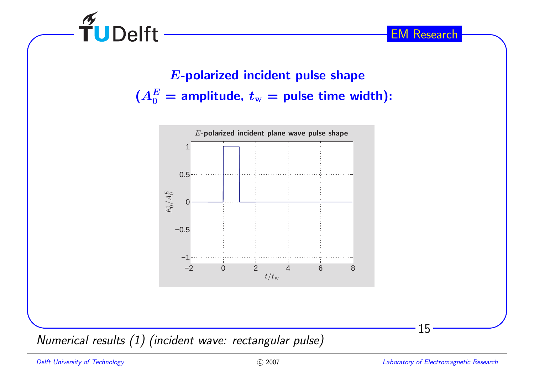

<sup>E</sup>-polarized incident pulse shape $(A_0^E=\mathsf{amplitude},\, t_{\mathrm{w}}=\mathsf{pulse}$  time width):



Numerical results (1) (incident wave: rectangular pulse)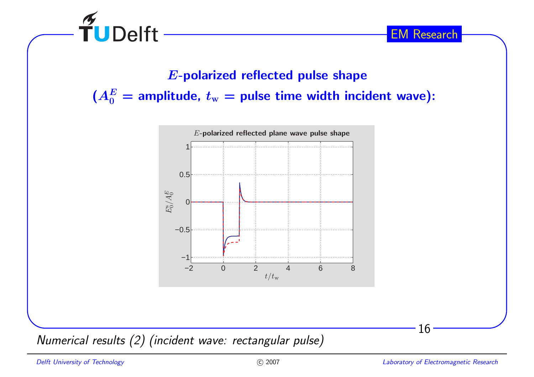

# <sup>E</sup>-polarized reflected pulse shape $(A_0^E=\text{amplitude},\,t_\mathrm{w}=\text{pulse time width incident wave})$ :



Numerical results (2) (incident wave: rectangular pulse)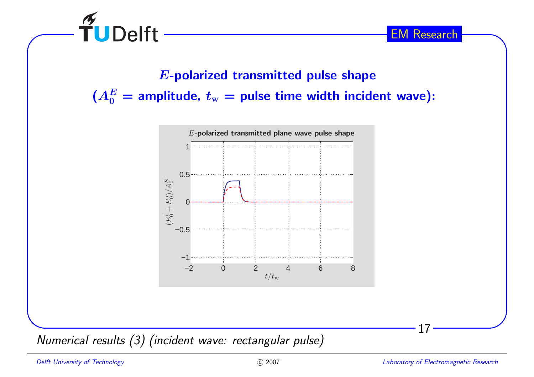

<sup>E</sup>-polarized transmitted pulse shape $(A_0^E=\text{amplitude},\,t_\mathrm{w}=\text{pulse time width incident wave})$ :



Numerical results (3) (incident wave: rectangular pulse)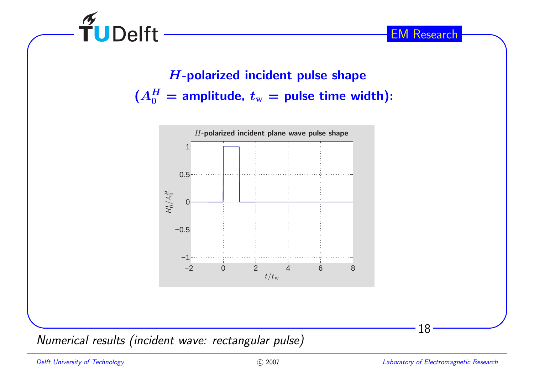

<sup>H</sup>-polarized incident pulse shape $(A_0^H=$  amplitude,  $t_\mathrm{w}=$  pulse time width):



Numerical results (incident wave: rectangular pulse)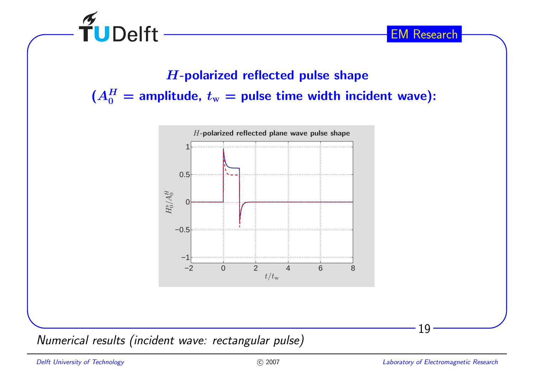

<sup>H</sup>-polarized reflected pulse shape $(A_0^H=$  amplitude,  $t_\mathrm{w}=$  pulse time width incident wave):



Numerical results (incident wave: rectangular pulse)